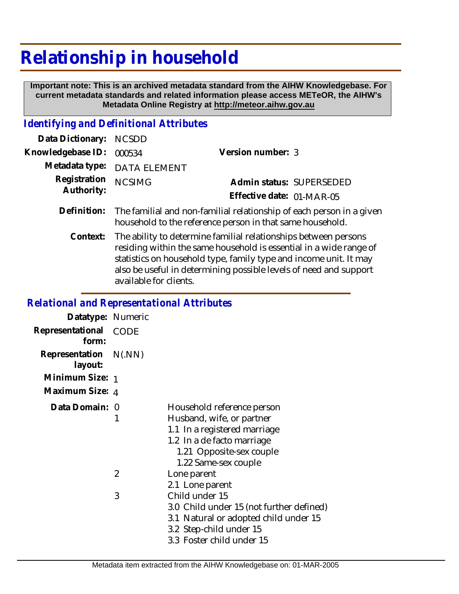# **Relationship in household**

 **Important note: This is an archived metadata standard from the AIHW Knowledgebase. For current metadata standards and related information please access METeOR, the AIHW's Metadata Online Registry at http://meteor.aihw.gov.au**

## *Identifying and Definitional Attributes*

| Data Dictionary: NCSDD            |                             |                           |  |
|-----------------------------------|-----------------------------|---------------------------|--|
| Knowledgebase ID: 000534          |                             | Version number: 3         |  |
|                                   | Metadata type: DATA ELEMENT |                           |  |
| Registration NCSIMG<br>Authority: |                             | Admin status: SUPERSEDED  |  |
|                                   |                             | Effective date: 01-MAR-05 |  |
|                                   |                             |                           |  |

- Definition: The familial and non-familial relationship of each person in a given household to the reference person in that same household.
	- The ability to determine familial relationships between persons residing within the same household is essential in a wide range of statistics on household type, family type and income unit. It may also be useful in determining possible levels of need and support available for clients. **Context:**

### *Relational and Representational Attributes*

| Datatype: Numeric                |                |                                                                                                                                                                           |
|----------------------------------|----------------|---------------------------------------------------------------------------------------------------------------------------------------------------------------------------|
| Representational<br>form:        | CODE           |                                                                                                                                                                           |
| Representation N(.NN)<br>layout: |                |                                                                                                                                                                           |
| Minimum Size: 1                  |                |                                                                                                                                                                           |
| Maximum Size: 4                  |                |                                                                                                                                                                           |
| Data Domain: 0                   |                | Household reference person<br>Husband, wife, or partner<br>1.1 In a registered marriage<br>1.2 In a de facto marriage<br>1.21 Opposite-sex couple<br>1.22 Same-sex couple |
|                                  | $\overline{2}$ | Lone parent<br>2.1 Lone parent                                                                                                                                            |
|                                  | 3              | Child under 15<br>3.0 Child under 15 (not further defined)<br>3.1 Natural or adopted child under 15<br>3.2 Step-child under 15<br>3.3 Foster child under 15               |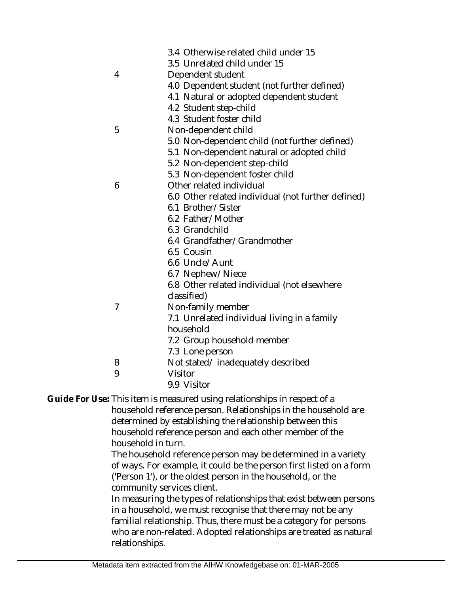|   | 3.4 Otherwise related child under 15<br>3.5 Unrelated child under 15 |
|---|----------------------------------------------------------------------|
| 4 | Dependent student                                                    |
|   | 4.0 Dependent student (not further defined)                          |
|   | 4.1 Natural or adopted dependent student                             |
|   | 4.2 Student step-child                                               |
|   | 4.3 Student foster child                                             |
| 5 | Non-dependent child                                                  |
|   | 5.0 Non-dependent child (not further defined)                        |
|   | 5.1 Non-dependent natural or adopted child                           |
|   | 5.2 Non-dependent step-child                                         |
|   | 5.3 Non-dependent foster child                                       |
| 6 | Other related individual                                             |
|   | 6.0 Other related individual (not further defined)                   |
|   | 6.1 Brother/Sister                                                   |
|   | 6.2 Father/Mother                                                    |
|   | 6.3 Grandchild                                                       |
|   | 6.4 Grandfather/Grandmother                                          |
|   | 6.5 Cousin                                                           |
|   | 6.6 Uncle/Aunt                                                       |
|   | 6.7 Nephew/Niece                                                     |
|   | 6.8 Other related individual (not elsewhere                          |
|   | classified)                                                          |
| 7 | Non-family member                                                    |
|   | 7.1 Unrelated individual living in a family                          |
|   | household                                                            |
|   | 7.2 Group household member                                           |
|   | 7.3 Lone person                                                      |
| 8 | Not stated/inadequately described                                    |
| 9 | Visitor                                                              |
|   | 9.9 Visitor                                                          |

Guide For Use: This item is measured using relationships in respect of a

household reference person. Relationships in the household are determined by establishing the relationship between this household reference person and each other member of the household in turn.

The household reference person may be determined in a variety of ways. For example, it could be the person first listed on a form ('Person 1'), or the oldest person in the household, or the community services client.

In measuring the types of relationships that exist between persons in a household, we must recognise that there may not be any familial relationship. Thus, there must be a category for persons who are non-related. Adopted relationships are treated as natural relationships.